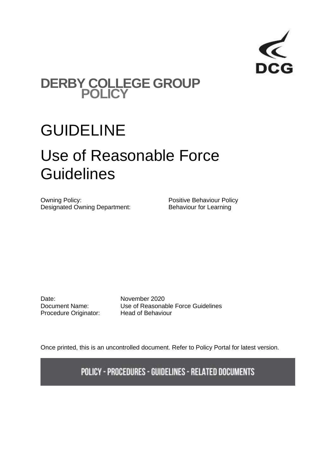

### **DERBY COLLEGE GROUP POLICY**

## GUIDELINE

# Use of Reasonable Force **Guidelines**

Owning Policy:<br>
Designated Owning Department:<br>
Behaviour for Learning<br>
Positive Behaviour for Learning Designated Owning Department:

Date: **November 2020**<br>Document Name: Use of Reasonal Procedure Originator: Head of Behaviour

Use of Reasonable Force Guidelines

Once printed, this is an uncontrolled document. Refer to Policy Portal for latest version.

**POLICY - PROCEDURES - GUIDELINES - RELATED DOCUMENTS**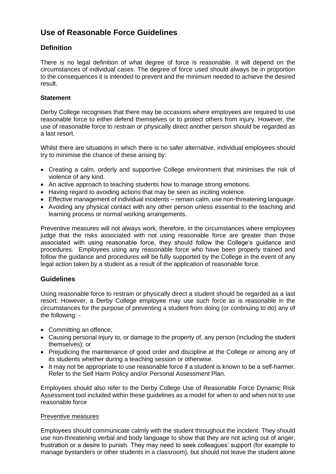### **Use of Reasonable Force Guidelines**

#### **Definition**

There is no legal definition of what degree of force is reasonable. It will depend on the circumstances of individual cases. The degree of force used should always be in proportion to the consequences it is intended to prevent and the minimum needed to achieve the desired result.

#### **Statement**

Derby College recognises that there may be occasions where employees are required to use reasonable force to either defend themselves or to protect others from injury. However, the use of reasonable force to restrain or physically direct another person should be regarded as a last resort.

Whilst there are situations in which there is no safer alternative, individual employees should try to minimise the chance of these arising by:

- Creating a calm, orderly and supportive College environment that minimises the risk of violence of any kind.
- An active approach to teaching students how to manage strong emotions.
- Having regard to avoiding actions that may be seen as inciting violence.
- Effective management of individual incidents remain calm, use non-threatening language.
- Avoiding any physical contact with any other person unless essential to the teaching and learning process or normal working arrangements.

Preventive measures will not always work, therefore, in the circumstances where employees judge that the risks associated with not using reasonable force are greater than those associated with using reasonable force, they should follow the College's guidance and procedures. Employees using any reasonable force who have been properly trained and follow the guidance and procedures will be fully supported by the College in the event of any legal action taken by a student as a result of the application of reasonable force.

#### **Guidelines**

Using reasonable force to restrain or physically direct a student should be regarded as a last resort. However, a Derby College employee may use such force as is reasonable in the circumstances for the purpose of preventing a student from doing (or continuing to do) any of the following: -

- Committing an offence;
- Causing personal injury to, or damage to the property of, any person (including the student themselves); or
- Prejudicing the maintenance of good order and discipline at the College or among any of its students whether during a teaching session or otherwise.
- It may not be appropriate to use reasonable force if a student is known to be a self-harmer. Refer to the Self Harm Policy and/or Personal Assessment Plan.

Employees should also refer to the Derby College Use of Reasonable Force Dynamic Risk Assessment tool included within these guidelines as a model for when to and when not to use reasonable force

#### Preventive measures

Employees should communicate calmly with the student throughout the incident. They should use non-threatening verbal and body language to show that they are not acting out of anger, frustration or a desire to punish. They may need to seek colleagues' support (for example to manage bystanders or other students in a classroom), but should not leave the student alone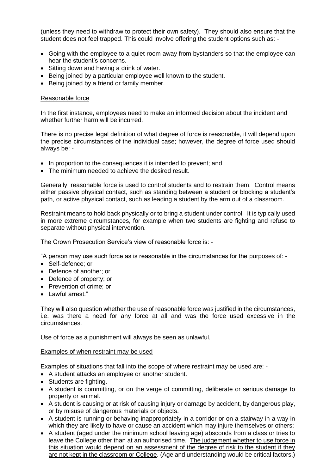(unless they need to withdraw to protect their own safety). They should also ensure that the student does not feel trapped. This could involve offering the student options such as: -

- Going with the employee to a quiet room away from bystanders so that the employee can hear the student's concerns.
- Sitting down and having a drink of water.
- Being joined by a particular employee well known to the student.
- Being joined by a friend or family member.

#### Reasonable force

In the first instance, employees need to make an informed decision about the incident and whether further harm will be incurred.

There is no precise legal definition of what degree of force is reasonable, it will depend upon the precise circumstances of the individual case; however, the degree of force used should always be: -

- In proportion to the consequences it is intended to prevent; and
- The minimum needed to achieve the desired result.

Generally, reasonable force is used to control students and to restrain them. Control means either passive physical contact, such as standing between a student or blocking a student's path, or active physical contact, such as leading a student by the arm out of a classroom.

Restraint means to hold back physically or to bring a student under control. It is typically used in more extreme circumstances, for example when two students are fighting and refuse to separate without physical intervention.

The Crown Prosecution Service's view of reasonable force is: -

"A person may use such force as is reasonable in the circumstances for the purposes of: -

- Self-defence; or
- Defence of another; or
- Defence of property; or
- Prevention of crime; or
- Lawful arrest."

They will also question whether the use of reasonable force was justified in the circumstances, i.e. was there a need for any force at all and was the force used excessive in the circumstances.

Use of force as a punishment will always be seen as unlawful.

#### Examples of when restraint may be used

Examples of situations that fall into the scope of where restraint may be used are: -

- A student attacks an employee or another student.
- Students are fighting.
- A student is committing, or on the verge of committing, deliberate or serious damage to property or animal.
- A student is causing or at risk of causing injury or damage by accident, by dangerous play, or by misuse of dangerous materials or objects.
- A student is running or behaving inappropriately in a corridor or on a stairway in a way in which they are likely to have or cause an accident which may injure themselves or others;
- A student (aged under the minimum school leaving age) absconds from a class or tries to leave the College other than at an authorised time. The judgement whether to use force in this situation would depend on an assessment of the degree of risk to the student if they are not kept in the classroom or College. (Age and understanding would be critical factors.)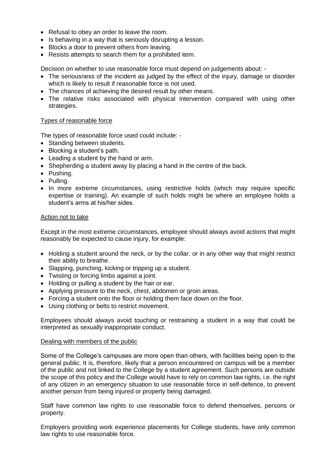- Refusal to obey an order to leave the room.
- Is behaving in a way that is seriously disrupting a lesson.
- Blocks a door to prevent others from leaving.
- Resists attempts to search them for a prohibited item.

Decision on whether to use reasonable force must depend on judgements about: -

- The seriousness of the incident as judged by the effect of the injury, damage or disorder which is likely to result if reasonable force is not used.
- The chances of achieving the desired result by other means.
- The relative risks associated with physical intervention compared with using other strategies.

#### Types of reasonable force

The types of reasonable force used could include: -

- Standing between students.
- Blocking a student's path.
- Leading a student by the hand or arm.
- Shepherding a student away by placing a hand in the centre of the back.
- Pushing.
- Pulling.
- In more extreme circumstances, using restrictive holds (which may require specific expertise or training). An example of such holds might be where an employee holds a student's arms at his/her sides.

#### Action not to take

Except in the most extreme circumstances, employee should always avoid actions that might reasonably be expected to cause injury, for example:

- Holding a student around the neck, or by the collar, or in any other way that might restrict their ability to breathe.
- Slapping, punching, kicking or tripping up a student.
- Twisting or forcing limbs against a joint.
- Holding or pulling a student by the hair or ear.
- Applying pressure to the neck, chest, abdomen or groin areas.
- Forcing a student onto the floor or holding them face down on the floor.
- Using clothing or belts to restrict movement.

Employees should always avoid touching or restraining a student in a way that could be interpreted as sexually inappropriate conduct.

#### Dealing with members of the public

Some of the College's campuses are more open than others, with facilities being open to the general public. It is, therefore, likely that a person encountered on campus will be a member of the public and not linked to the College by a student agreement. Such persons are outside the scope of this policy and the College would have to rely on common law rights, i.e. the right of any citizen in an emergency situation to use reasonable force in self-defence, to prevent another person from being injured or property being damaged.

Staff have common law rights to use reasonable force to defend themselves, persons or property.

Employers providing work experience placements for College students, have only common law rights to use reasonable force.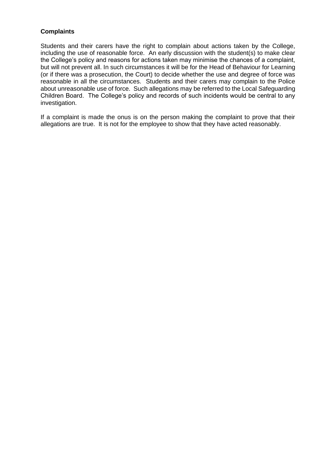#### **Complaints**

Students and their carers have the right to complain about actions taken by the College, including the use of reasonable force. An early discussion with the student(s) to make clear the College's policy and reasons for actions taken may minimise the chances of a complaint, but will not prevent all. In such circumstances it will be for the Head of Behaviour for Learning (or if there was a prosecution, the Court) to decide whether the use and degree of force was reasonable in all the circumstances. Students and their carers may complain to the Police about unreasonable use of force. Such allegations may be referred to the Local Safeguarding Children Board. The College's policy and records of such incidents would be central to any investigation.

If a complaint is made the onus is on the person making the complaint to prove that their allegations are true. It is not for the employee to show that they have acted reasonably.